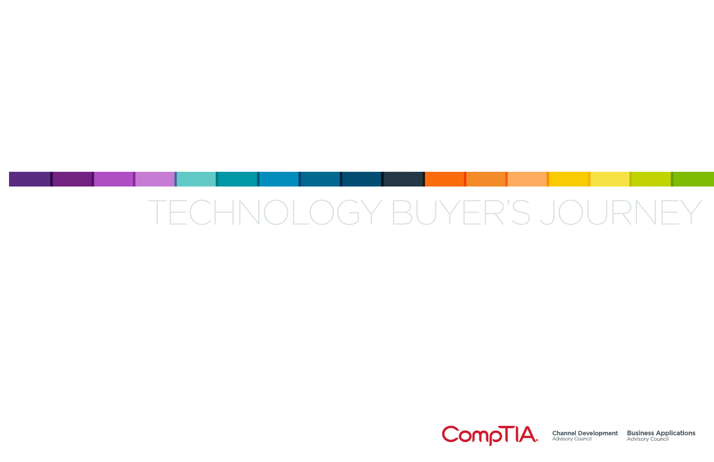### TECHNOLOGY BUYER'S JOURNEY

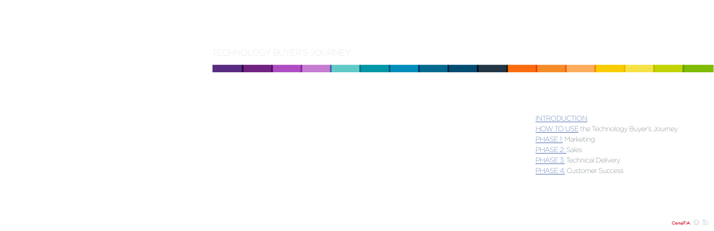### TECHNOLOGY BUYER'S JOURNEY

### [INTRODUCTION](#page-2-0)

### [HOW TO USE](#page-3-0) the Technology Buyer's Journey

### [PHASE 1:](#page-4-0) Marketing

### [PHASE 2:](#page-10-0) Sales

### [PHASE 3:](#page-18-0) Technical Delivery

### [PHASE 4:](#page-23-0) Customer Success

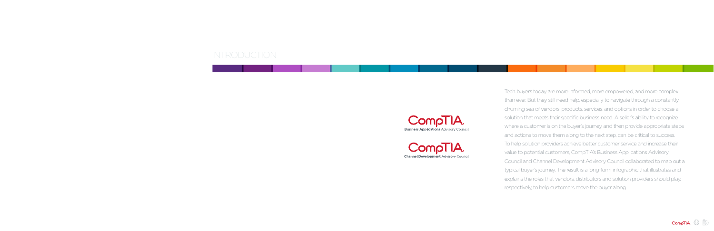Tech buyers today are more informed, more empowered, and more complex than ever. But they still need help, especially to navigate through a constantly churning sea of vendors, products, services, and options in order to choose a solution that meets their specific business need. A seller's ability to recognize where a customer is on the buyer's journey, and then provide appropriate steps and actions to move them along to the next step, can be critical to success. To help solution providers achieve better customer service and increase their value to potential customers, CompTIA's Business Applications Advisory Council and Channel Development Advisory Council collaborated to map out a typical buyer's journey. The result is a long-form infographic that illustrates and explains the roles that vendors, distributors and solution providers should play, respectively, to help customers move the buyer along.



### <span id="page-2-0"></span>INTRODUCTION



**CompTIA Business Applications Advisory Council** 

**Channel Development Advisory Council** 

- 
- 
- 
- 
- 
- 
- 
- 
- 
- 
- 
-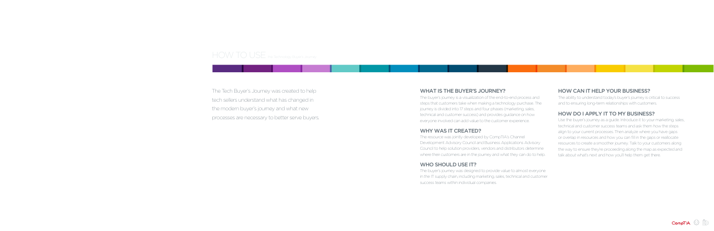#### WHAT IS THE BUYER'S JOURNEY?

The resource was jointly developed by CompTIA's Channel Development Advisory Council and Business Applications Advisory Council to help solution providers, vendors and distributors determine where their customers are in the journey and what they can do to help.

#### WHO SHOULD USE IT?

The buyer's journey is a visualization of the end-to-end process and steps that customers take when making a technology purchase. The journey is divided into 17 steps and four phases (marketing, sales, technical and customer success) and provides guidance on how everyone involved can add value to the customer experience.

#### WHY WAS IT CREATED?

The buyer's journey was designed to provide value to almost everyone in the IT supply chain, including marketing, sales, technical and customer success teams within individual companies.

#### HOW CAN IT HELP YOUR BUSINESS?

The ability to understand today's buyer's journey is critical to success and to ensuring long-term relationships with customers.

#### HOW DO I APPLY IT TO MY BUSINESS?

Use the buyer's journey as a guide. Introduce it to your marketing, sales, technical and customer success teams and ask them how the steps align to your current processes. Then analyze where you have gaps or overlap in resources and how you can fill in the gaps or reallocate resources to create a smoother journey. Talk to your customers along the way to ensure they're proceeding along the map as expected and talk about what's next and how you'll help them get there.

### <span id="page-3-0"></span>HOW TO USE the Technology Buyer's Journey

The Tech Buyer's Journey was created to help tech sellers understand what has changed in the modern buyer's journey and what new processes are necessary to better serve buyers.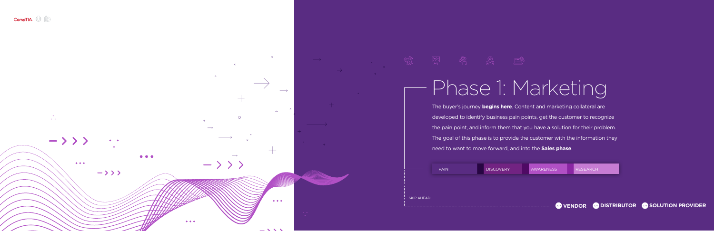<span id="page-4-0"></span>

 $\circ$ 

 $\sim 100$ 

 $\bigcirc$  $\mathbf{r}=\mathbf{r}$  $\rightarrow$  > > >  $\bullet$   $\bullet$  $\bullet$   $\bullet$   $\bullet$  $\bullet\bullet\bullet$ 

 $-\rangle$   $\rangle$   $\rangle$ 





 $\bullet\bullet\bullet$ 

# Phase 1: Marketing

The buyer's journey **begins here**. Content and marketing collateral are developed to identify business pain points, get the customer to recognize the pain point, and inform them that you have a solution for their problem. The goal of this phase is to provide the customer with the information they need to want to move forward, and into the **Sales phase**.

[SKIP AHEAD](#page-9-0) [PAIN](#page-5-0) [DISCOVERY](#page-6-0) [AWARENESS](#page-7-0) [RESEARCH](#page-8-0)

 $\longrightarrow$ 

 $\bullet\bullet\bullet$ 

**WENDOR CON[DISTRIBUTOR](#page-9-0) WE [SOLUTION PROVIDER](#page-9-0)**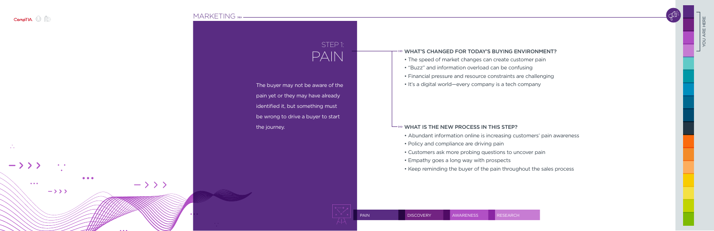<span id="page-5-0"></span>

 $\bullet$  .  $\bullet$ 

### [MARKETING](#page-4-0) » -

| Ţ                         |  |  |
|---------------------------|--|--|
| $\overline{\mathsf{D}}$   |  |  |
| $\overline{\mathsf{i}}$ c |  |  |
| $\overline{\mathsf{b}}$   |  |  |
|                           |  |  |



he buyer may not be aware of the pain yet or they may have already lentified it, but something must be wrong to drive a buyer to start the journey.

### PAIN WHAT'S CHANGED FOR TODAY'S BUYING ENVIRONMENT?<br>
• The speed of market changes can create customer pain

# STEP 1:

- 
- "Buzz" and information overload can be confusing
- Financial pressure and resource constraints are challenging
- It's a digital world—every company is a tech company

#### $\longrightarrow$  WHAT IS THE NEW PROCESS IN THIS STEP?

- Abundant information online is increasing customers' pain awareness
- Policy and compliance are driving pain
- Customers ask more probing questions to uncover pain
- Empathy goes a long way with prospects
- Keep reminding the buyer of the pain throughout the sales process

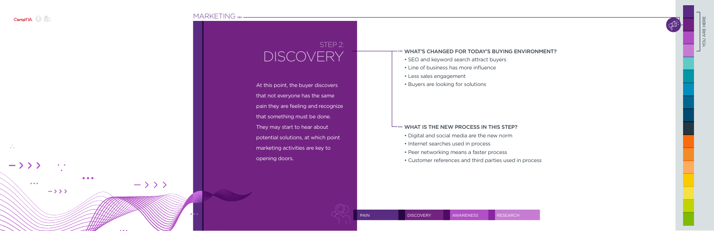<span id="page-6-0"></span>

 $\frac{1}{\sqrt{2}}$ 

 $\rightarrow$  > > >

 $\bullet\bullet\bullet$ 

### [MARKETING](#page-4-0) >>> -

| 3       |                                |                  | $\cdots$ $\cdots$ $\cdots$ $\cdots$ |     |
|---------|--------------------------------|------------------|-------------------------------------|-----|
|         |                                |                  |                                     |     |
|         |                                |                  |                                     |     |
|         |                                |                  |                                     |     |
|         |                                |                  |                                     |     |
|         |                                |                  |                                     |     |
|         |                                |                  |                                     |     |
|         |                                |                  |                                     |     |
|         |                                |                  |                                     |     |
|         |                                |                  |                                     |     |
|         |                                |                  |                                     |     |
|         |                                |                  |                                     |     |
|         |                                |                  |                                     |     |
|         |                                |                  |                                     |     |
|         |                                |                  |                                     |     |
|         |                                |                  |                                     | At  |
|         |                                |                  |                                     |     |
|         |                                |                  |                                     |     |
|         |                                |                  |                                     | tha |
|         |                                |                  |                                     |     |
|         |                                |                  |                                     | pa  |
|         |                                |                  |                                     |     |
|         |                                |                  |                                     | tha |
|         |                                |                  |                                     |     |
|         |                                |                  |                                     |     |
|         |                                |                  |                                     | Th  |
|         |                                |                  |                                     |     |
|         |                                |                  |                                     | po  |
|         |                                |                  |                                     |     |
|         |                                |                  |                                     |     |
|         |                                |                  |                                     | ma  |
|         |                                |                  |                                     |     |
|         |                                |                  |                                     | op  |
|         |                                |                  |                                     |     |
|         |                                |                  |                                     |     |
|         |                                |                  |                                     |     |
|         |                                |                  |                                     |     |
|         |                                |                  |                                     |     |
|         | $-\rangle$ $\rangle$ $\rangle$ |                  |                                     |     |
| $-$ >>> |                                |                  |                                     |     |
|         |                                |                  |                                     |     |
|         |                                |                  |                                     |     |
|         |                                |                  |                                     |     |
|         |                                |                  |                                     |     |
|         |                                | $\bullet\bullet$ |                                     |     |
|         |                                |                  |                                     |     |
|         |                                |                  |                                     |     |
|         |                                |                  |                                     |     |
|         |                                |                  |                                     |     |

### WHAT'S CHANGED FOR TODAY'S BUYING ENVIRONMENT?

- SEO and keyword search attract buyers
- Line of business has more influence
- Less sales engagement
- Buyers are looking for solutions

### $\overline{\phantom{a}}$  WHAT IS THE NEW PROCESS IN THIS STEP?

- Digital and social media are the new norm
- Internet searches used in process
- Peer networking means a faster process
- Customer references and third parties used in process

### STEP 2: DISCOVERY

 $\pm$  this point, the buyer discovers at not everyone has the same in they are feeling and recognize at something must be done. ey may start to hear about tential solutions, at which point arketing activities are key to ening doors.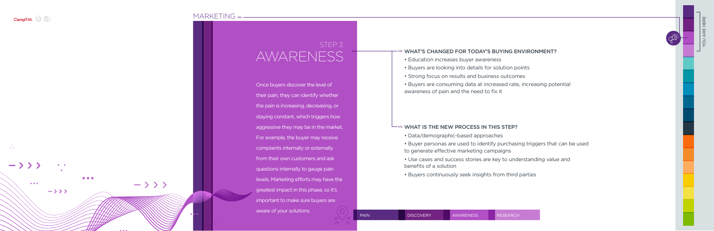<span id="page-7-0"></span>

### [MARKETING](#page-4-0) » -

| Ond  |
|------|
| thei |
| the  |
| stay |
| agg  |
| For  |
| con  |
| fron |
| que  |
| leve |
| grea |
| imp  |
| awa  |





### WHAT'S CHANGED FOR TODAY'S BUYING ENVIRONMENT?

- Education increases buyer awareness
- Buyers are looking into details for solution points
- Strong focus on results and business outcomes
- Buyers are consuming data at increased rate, increasing potential awareness of pain and the need to fix it

### $\overline{\phantom{a}}$  what is the NEW process in this step?

- Data/demographic-based approaches
- Buyer personas are used to identify purchasing triggers that can be used to generate effective marketing campaigns
- Use cases and success stories are key to understanding value and benefits of a solution
- Buyers continuously seek insights from third parties

### STEP 3: AWARENESS

ce buyers discover the level of r pain, they can identify whether pain is increasing, decreasing, or ing constant, which triggers how gressive they may be in the market. example, the buyer may receive mplaints internally or externally n their own customers and ask estions internally to gauge pain ls. Marketing efforts may have the atest impact in this phase, so it's bortant to make sure buyers are re of your solutions.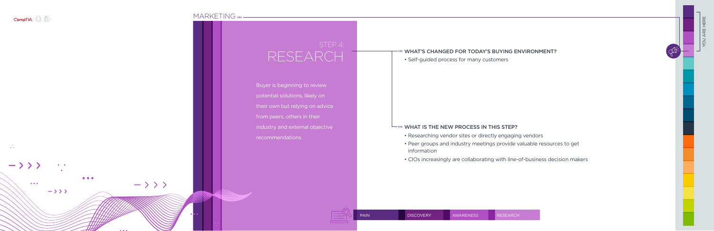<span id="page-8-0"></span>

### [MARKETING](#page-4-0) » -

| <b>Buy</b> |  |  |  |
|------------|--|--|--|
|            |  |  |  |
| pote       |  |  |  |
|            |  |  |  |
| their      |  |  |  |
|            |  |  |  |
| from       |  |  |  |
|            |  |  |  |
|            |  |  |  |
| indu       |  |  |  |
|            |  |  |  |
| reco       |  |  |  |
|            |  |  |  |
|            |  |  |  |
|            |  |  |  |
|            |  |  |  |
|            |  |  |  |
|            |  |  |  |
|            |  |  |  |
|            |  |  |  |
|            |  |  |  |
|            |  |  |  |
|            |  |  |  |



# YOU ARE HERE

### WHAT'S CHANGED FOR TODAY'S BUYING ENVIRONMENT?

• Self-guided process for many customers

### $\overline{\phantom{a}}$  WHAT IS THE NEW PROCESS IN THIS STEP?

- Researching vendor sites or directly engaging vendors
- Peer groups and industry meetings provide valuable resources to get information
- CIOs increasingly are collaborating with line-of-business decision makers



### STEP 4: RESEARCH

- **Pure is beginning to review** ential solutions, likely on their own but relying on advice
- peers, others in their
- istry and external objective mmendations.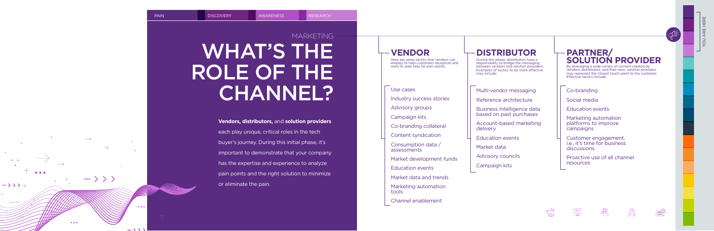### **Vendors, distributors,** and **solution providers**

each play unique, critical roles in the tech buyer's journey. During this initial phase, it's important to demonstrate that your company has the expertise and experience to analyze pain points and the right solution to minimize or eliminate the pain.

<span id="page-9-0"></span>

 $\longrightarrow$ 

 $\bullet\bullet\bullet$ 

 $\rightarrow$  > >  $\rightarrow$ 

 $-\rangle$   $\rangle$   $\rangle$ 

 $\bullet\bullet\bullet$ 

 $\sim$   $\sim$   $\sim$   $\sim$ 



### **VENDOR**

Here are some tactics that vendors can employ to help customers recognize and want to seek help for pain points.

Use cases

Industry success stories

Advisory groups

Campaign kits

Co-branding collateral

Content syndication

Consumption data / assessments

Market development funds

Education events

Market data and trends

Marketing automation tools

Channel enablement

### WHAT'S THE ROLE OF THE CHANNEL? MARKETING

**DISTRIBUTOR** During this phase, distributors have a responsibility to bridge the messaging between vendors and solution providers. Examples of tactics to be more effective may include:

Multi-vendor messaging

Reference architecture

Business Intelligence data based on past purchases

Account-based marketing delivery

Education events

Market data

Advisory councils

Campaign kits

### **PARTNER/ SOLUTION PROVIDER**

Co-branding

Social media

Education events

Marketing automation platforms to improve campaigns

Customer engagement, i.e., it's time for business discussions

Proactive use of all channel resources











By leveraging a wide variety of content created by vendors, distributors, and their own, solution providers may represent the closest touch point to the customer. Effective tactics include: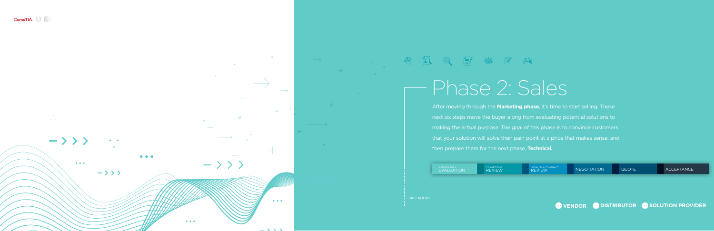<span id="page-10-0"></span>

 $\sim 10^{-11}$  $\bullet$  ,  $\bullet$  .  $\rightarrow$  > > >  $\bullet\bullet\bullet$  $\bullet\bullet\bullet$  $\rightarrow$  > > >

 $\bullet\bullet\bullet$ 

 $\rightarrow$  > > >

ASSESSMENT + [EVALUATION](#page-11-0)

COMPETITIVE [REVIEW](#page-12-0)





After moving through the **Marketing phase**, it's time to start selling. These next six steps move the buyer along from evaluating potential solutions to making the actual purpose. The goal of this phase is to convince customers that your solution will solve their pain point at a price that makes sense, and then prepare them for the next phase, **Technical.**



[SKIP AHEAD](#page-17-0)

 $\bullet\bullet\bullet$ 

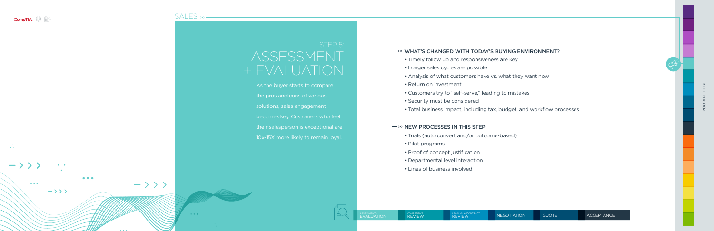<span id="page-11-0"></span>

### [SALES](#page-10-0) » -









YOU ARE HERE

- Trials (auto convert and/or outcome-based)
- Pilot programs
- Proof of concept justification
- Departmental level interaction
- Lines of business involved



### WHAT'S CHANGED WITH TODAY'S BUYING ENVIRONMENT?

- Timely follow up and responsiveness are key
- Longer sales cycles are possible
- Analysis of what customers have vs. what they want now
- Return on investment
- Customers try to "self-serve," leading to mistakes
- Security must be considered
- Total business impact, including tax, budget, and workflow processes

#### $\longmapsto$  NEW PROCESSES IN THIS STEP:

### ASSESSMENT + EVALUATION

As the buyer starts to compare the pros and cons of various solutions, sales engagement becomes key. Customers who feel their salesperson is exceptional are 10x-15X more likely to remain loyal.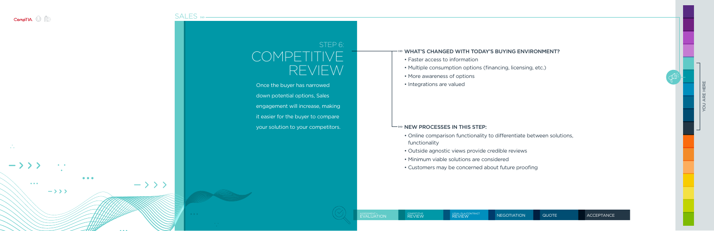<span id="page-12-0"></span>

 $\bullet$  .  $\bullet$ 

 $\bullet \qquad \bullet$ 

### [SALES](#page-10-0) » -

| $\bigg($ |
|----------|
| On       |
| dov      |
| eng      |
| it ea    |
| you      |
|          |
|          |
|          |





[NEGOTIATION](#page-14-0) [QUOTE](#page-15-0) [ACCEPTANCE](#page-16-0)

### WHAT'S CHANGED WITH TODAY'S BUYING ENVIRONMENT?

- Faster access to information
- Multiple consumption options (financing, licensing, etc.)
- More awareness of options
- Integrations are valued

#### $\longmapsto$  NEW PROCESSES IN THIS STEP:

### STEP<sub>6:</sub> OMPETITIVE REVIEW

ce the buyer has narrowed vn potential options, Sales agement will increase, making asier for the buyer to compare ir solution to your competitors.

- Online comparison functionality to differentiate between solutions, functionality
- Outside agnostic views provide credible reviews
- Minimum viable solutions are considered
- Customers may be concerned about future proofing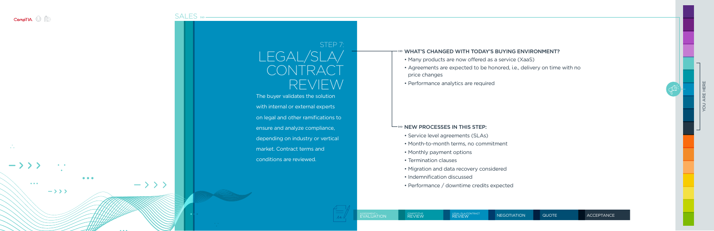<span id="page-13-0"></span>

 $\sim 100$  $\mathbf{r} \in \mathbb{R}^{n \times n}$ 

 $\bullet\bullet\bullet$ 

 $\bullet \qquad \bullet$ 

 $\rightarrow$  >>>

 $\bullet\bullet\bullet$ 

### $S\Delta$ LES  $W -$

|     | しハレニー     | $\sim$ $\sim$ $\sim$ |                              |
|-----|-----------|----------------------|------------------------------|
|     |           |                      |                              |
|     |           |                      | The bu<br>with in<br>on lega |
|     |           |                      | ensure<br>depen<br>market    |
|     |           |                      | conditi                      |
| >>> | $\bullet$ | $\bullet$            |                              |
|     |           |                      |                              |





YOU ARE HERE

### WHAT'S CHANGED WITH TODAY'S BUYING ENVIRONMENT?

- Many products are now offered as a service (XaaS)
- Agreements are expected to be honored, i.e., delivery on time with no price changes
- Performance analytics are required

### $\longmapsto$  NEW PROCESSES IN THIS STEP:

- Service level agreements (SLAs)
- Month-to-month terms, no commitment
- Monthly payment options
- Termination clauses
- Migration and data recovery considered
- Indemnification discussed
- Performance / downtime credits expected



### STEP 7: GAL/SL CONTRACT REVIEW

yer validates the solution ternal or external experts I and other ramifications to and analyze compliance, ding on industry or vertical . Contract terms and

### ions are reviewed.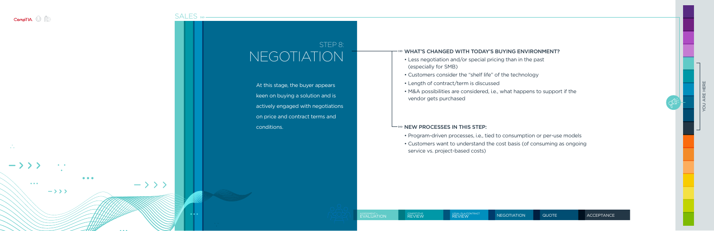<span id="page-14-0"></span>

### [SALES](#page-10-0) » -

|  |  | NE |        |
|--|--|----|--------|
|  |  |    | At thi |
|  |  |    | keen   |
|  |  |    | active |
|  |  |    | on pr  |
|  |  |    | cond   |
|  |  |    |        |
|  |  |    |        |
|  |  |    |        |
|  |  |    |        |
|  |  |    |        |
|  |  |    |        |
|  |  |    |        |

 $\mathcal{L}_{\text{eff}}$  $\bullet \qquad \bullet$  $\bullet\bullet\bullet$  $-\rightarrow \rightarrow \rightarrow$  $\bullet\bullet\bullet$  $\rightarrow$  >>>

 $\bullet$   $\bullet$   $\bullet$ 



LEGAL/SLA/CONTRACT [REVIEW](#page-13-0) NEGOTIATION [QUOTE](#page-15-0) [ACCEPTANCE](#page-16-0)

YOU ARE HERE

### WHAT'S CHANGED WITH TODAY'S BUYING ENVIRONMENT?

- Less negotiation and/or special pricing than in the past (especially for SMB)
- Customers consider the "shelf life" of the technology
- Length of contract/term is discussed
- M&A possibilities are considered, i.e., what happens to support if the vendor gets purchased

### $\longmapsto$  NEW PROCESSES IN THIS STEP:

- Program-driven processes, i.e., tied to consumption or per-use models
- Customers want to understand the cost basis (of consuming as ongoing service vs. project-based costs)



### STEP 8: NEGOTIATION

iis stage, the buyer appears on buying a solution and is ely engaged with negotiations rice and contract terms and itions.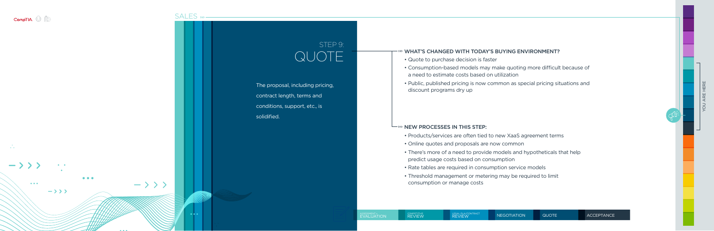<span id="page-15-0"></span>

 $\mathbf{r} = \mathbf{r} \mathbf{r}$ 



[SALES](#page-10-0) » -



 $\bullet$   $\bullet$   $\bullet$ 

#### LEGAL/SLA/CONTRACT [REVIEW](#page-13-0) [NEGOTIATION](#page-14-0) QUOTE [ACCEPTANCE](#page-16-0)



### WHAT'S CHANGED WITH TODAY'S BUYING ENVIRONMENT?

- Quote to purchase decision is faster
- Consumption-based models may make quoting more difficult because of a need to estimate costs based on utilization
- Public, published pricing is now common as special pricing situations and discount programs dry up

### $\longmapsto$  NEW PROCESSES IN THIS STEP:

- Products/services are often tied to new XaaS agreement terms
- Online quotes and proposals are now common
- There's more of a need to provide models and hypotheticals that help predict usage costs based on consumption
- Rate tables are required in consumption service models
- Threshold management or metering may be required to limit consumption or manage costs

### STEP 9: QUOTE

- The proposal, including pricing, contract length, terms and conditions, support, etc., is
- solidified.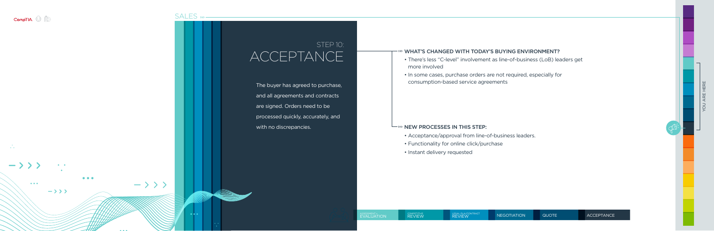<span id="page-16-0"></span>

### [SALES](#page-10-0) » -

| $\overline{\text{The}}$ |
|-------------------------|
| anc                     |
| are                     |
| pro                     |
| wit                     |



### STEP 10: **CCEPTANCE**

e buyer has agreed to purchase, d all agreements and contracts are signed. Orders need to be pcessed quickly, accurately, and h no discrepancies.



YOU ARE HERE

### WHAT'S CHANGED WITH TODAY'S BUYING ENVIRONMENT?

- There's less "C-level" involvement as line-of-business (LoB) leaders get more involved
- In some cases, purchase orders are not required, especially for consumption-based service agreements

### $\longmapsto$  NEW PROCESSES IN THIS STEP:

- Acceptance/approval from line-of-business leaders.
- Functionality for online click/purchase
- Instant delivery requested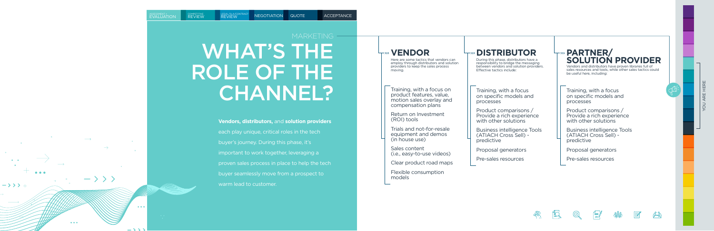### **Vendors, distributors,** and **solution providers**

- each play unique, critical roles in the tech
- buyer's journey. During this phase, it's
- important to work together, leveraging a
- proven sales process in place to help the tech
- buyer seamlessly move from a prospect to
	-

warm lead to customer.

YOU ARE HERE















### **VENDOR**

Here are some tactics that vendors can employ through distributors and solution providers to keep the sales process moving.

> Product comparisons / Provide a rich experience with other solutions

Training, with a focus on product features, value, motion sales overlay and compensation plans

Return on Investment (ROI) tools

Product comparisons / Provide a rich experience with other solutions

Trials and not-for-resale equipment and demos (in house use)

Sales content (i.e., easy-to-use videos)

Clear product road maps

Flexible consumption models

### **DISTRIBUTOR**

During this phase, distributors have a responsibility to bridge the messaging between vendors and solution providers. Effective tactics include:

Training, with a focus on specific models and processes

Business intelligence Tools (ATIACH Cross Sell) predictive

Proposal generators

Pre-sales resources

### **PARTNER/ SOLUTION PROVIDER**

Training, with a focus on specific models and processes

Business intelligence Tools (ATIACH Cross Sell) predictive

Proposal generators

Pre-sales resources

Vendors and distributors have proven libraries full of sales resources and tools, while other sales tactics could be useful here, including:

<span id="page-17-0"></span>**AAA** 

 $\rightarrow$  > >  $\circ$ 

 $-\rangle$   $\rangle$   $\rangle$ 

 $\bullet\bullet\bullet$ 

 $\bullet\bullet\bullet$ 

 $\sim$   $\sim$   $\sim$   $\sim$ 

COMPETITIVE<br>REVIEW

### WHAT'S THE ROLE OF THE CHANNEL? **MARKETING -**

LEGAL/SLA/CONTRACT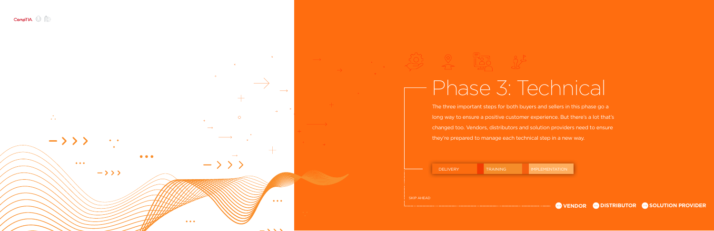<span id="page-18-0"></span>

 $\ddot{\cdot}$ 



 $\bullet\bullet\bullet$ 



# Phase 3: Technical

The three important steps for both buyers and sellers in this phase go a long way to ensure a positive customer experience. But there's a lot that's changed too. Vendors, distributors and solution providers need to ensure they're prepared to manage each technical step in a new way.



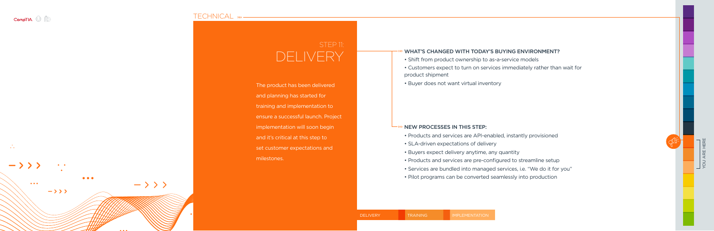<span id="page-19-0"></span>

 $\mathcal{L}_{\mathbf{r}}$ 

### [TECHNICAL](#page-18-0) » -

| Th         |
|------------|
| an         |
| tra        |
| <u>en:</u> |
| <u>im</u>  |





### WHAT'S CHANGED WITH TODAY'S BUYING ENVIRONMENT?

- Shift from product ownership to as-a-service models
- Customers expect to turn on services immediately rather than wait for product shipment
- Buyer does not want virtual inventory

### $\overline{N}$  NEW PROCESSES IN THIS STEP:

- a product has been delivered d planning has started for
- ining and implementation to
- sure a successful launch. Project
- olementation will soon begin
- and it's critical at this step to
- set customer expectations and milestones.
- Products and services are API-enabled, instantly provisioned
- SLA-driven expectations of delivery
- Buyers expect delivery anytime, any quantity
- Products and services are pre-configured to streamline setup
- Services are bundled into managed services, i.e. "We do it for you"
- Pilot programs can be converted seamlessly into production

### STEP 11: DELIVERY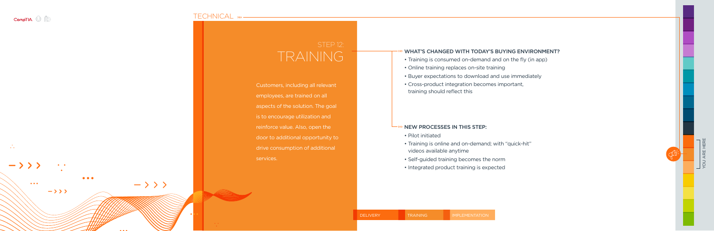<span id="page-20-0"></span>

### [TECHNICAL](#page-18-0) »-

| Cu   |  |  |
|------|--|--|
| em   |  |  |
| asp  |  |  |
| is t |  |  |
| reir |  |  |
| do   |  |  |
| dri  |  |  |
| ser  |  |  |
|      |  |  |
|      |  |  |

| $\bullet$ . $\bullet$                          |                      |           |
|------------------------------------------------|----------------------|-----------|
| $\rightarrow$ > > >                            |                      |           |
| $\bullet\bullet\bullet$<br>$\rightarrow$ > > > | $-\rightarrow$ > > > |           |
|                                                | $\bullet$            | $\bullet$ |
|                                                |                      |           |

YOU ARE HERE

### WHAT'S CHANGED WITH TODAY'S BUYING ENVIRONMENT?

- Training is consumed on-demand and on the fly (in app)
- Online training replaces on-site training
- Buyer expectations to download and use immediately
- Cross-product integration becomes important, training should reflect this

### NEW PROCESSES IN THIS STEP:

- Pilot initiated
- Training is online and on-demand; with "quick-hit" videos available anytime
- Self-guided training becomes the norm
- Integrated product training is expected

 $\frac{1}{2}$  $\frac{1}{2}$ 

# TRAINING

stomers, including all relevant ployees, are trained on all ects of the solution. The goal is encourage utilization and force value. Also, open the  $\overline{\text{or to } }$  additional opportunity to e consumption of additional vices.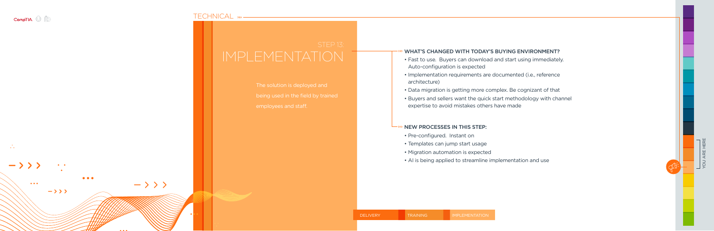<span id="page-21-0"></span>

### [TECHNICAL](#page-18-0) » -



YOU ARE HERE

### WHAT'S CHANGED WITH TODAY'S BUYING ENVIRONMENT?

- Fast to use. Buyers can download and start using immediately. Auto-configuration is expected
- Implementation requirements are documented (i.e., reference architecture)
- Data migration is getting more complex. Be cognizant of that
- Buyers and sellers want the quick start methodology with channel expertise to avoid mistakes others have made

### NEW PROCESSES IN THIS STEP:

- Pre-configured. Instant on
- Templates can jump start usage
- Migration automation is expected
- AI is being applied to streamline implementation and use



- The solution is deployed and
- being used in the field by trained
- employees and staff.

# IMPLEMENTATION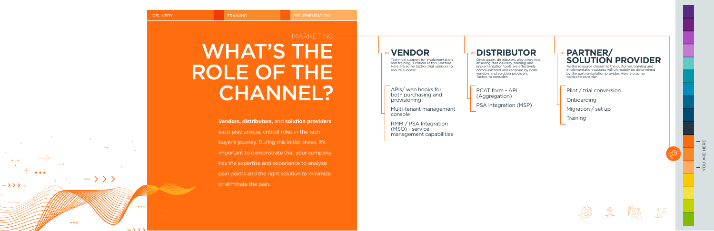$\longrightarrow$ 

 $\bullet\bullet\bullet$ 

 $\rightarrow$  > >  $\rightarrow$ 

 $-\rangle$   $\rangle$   $\rangle$ 

 $\bullet\bullet\bullet$ 

 $\sim$   $\sim$   $\sim$   $\sim$ 

### WHAT'S THE ROLE OF THE CHANNEL? **MARKETING**

### **Vendors, distributors,** and **solution providers**

YOU ARE HERE  $\frac{1}{2}$ 









each play unique, critical roles in the tech buyer's journey. During this initial phase, it's important to demonstrate that your company has the expertise and experience to analyze pain points and the right solution to minimize or eliminate the pain.

#### <span id="page-22-0"></span>**DELIVERY TRAINING IMPLEMENTATION**

### **VENDOR**

Technical support for implementation and training is critical at this juncture. Here are some tactics that vendors to ensure success:

APIs/ web hooks for both purchasing and provisioning

Multi-tenant management console

RMM / PSA Integration (MSO) - service management capabilities

### **DISTRIBUTOR**

Once again, distributors play a key role ensuring that delivery, training and implementation tools are effectively communicated and received by both vendors and solution providers. Tactics to consider:

PCAT form - API (Aggregation)

PSA integration (MSP)



### **PARTNER/ SOLUTION PROVIDER**

Pilot / trial conversion

Onboarding

Migration / set up

**Training** 

As the resource closest to the customer, training and implementation success will ultimately be determined by the partner/solution provider. Here are some tactics to consider: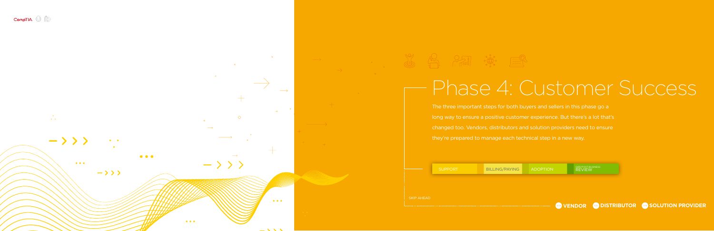<span id="page-23-0"></span>

 $\sim 10^{-11}$  $\mathbf{r}=\mathbf{r}$  .  $\rightarrow$  > > >  $\bullet\bullet\bullet$ 

> $\bullet\bullet\bullet$  $\rightarrow$  > > >



 $\bullet\bullet\bullet$ 



## Phase 4: Customer Success

The three important steps for both buyers and sellers in this phase go a long way to ensure a positive customer experience. But there's a lot that's changed too. Vendors, distributors and solution providers need to ensure they're prepared to manage each technical step in a new way.

| <b>SKIP AHEAD</b> | <b>SUPPORT</b> | BILLING/PAYING | <b>ADOPTION</b> | QBR/POST-BUSINESS<br>REVIEW |  |
|-------------------|----------------|----------------|-----------------|-----------------------------|--|
|                   |                |                |                 |                             |  |

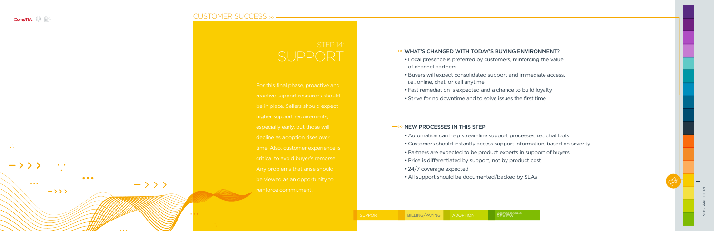<span id="page-24-0"></span>

 $\mathcal{L}_{\mathcal{L}}$ 

 $\bullet\bullet\bullet$ 

 $\begin{array}{ccc} \bullet & \bullet & \bullet \end{array}$ 

 $\rightarrow \rightarrow \rightarrow$ 

### [CUSTOMER SUCCESS](#page-23-0) »

|                         |                      |                                                            |  | For this t  |
|-------------------------|----------------------|------------------------------------------------------------|--|-------------|
|                         |                      |                                                            |  | reactive    |
|                         |                      |                                                            |  | be in pla   |
|                         |                      |                                                            |  | higher su   |
|                         |                      |                                                            |  | especiall   |
|                         |                      |                                                            |  | decline a   |
|                         |                      |                                                            |  | time. Als   |
|                         |                      |                                                            |  | critical to |
|                         |                      |                                                            |  | Any prol    |
| $\bullet\bullet\bullet$ | $-\rightarrow$ > > > |                                                            |  | be viewe    |
|                         |                      |                                                            |  | reinforce   |
|                         |                      |                                                            |  |             |
|                         |                      |                                                            |  |             |
|                         |                      | $\begin{array}{c} \bullet & \bullet & \bullet \end{array}$ |  |             |
|                         |                      |                                                            |  |             |

YOU ARE HERE

### WHAT'S CHANGED WITH TODAY'S BUYING ENVIRONMENT?

- Local presence is preferred by customers, reinforcing the value of channel partners
- Buyers will expect consolidated support and immediate access, i.e., online, chat, or call anytime
- Fast remediation is expected and a chance to build loyalty
- Strive for no downtime and to solve issues the first time

### NEW PROCESSES IN THIS STEP:

- Automation can help streamline support processes, i.e., chat bots
- Customers should instantly access support information, based on severity
- Partners are expected to be product experts in support of buyers
- Price is differentiated by support, not by product cost
- 24/7 coverage expected
- All support should be documented/backed by SLAs



# SUPPORT

inal phase, proactive and support resources should be in Sellers should expect apport requirements, y early, but those will s adoption rises over o, customer experience is avoid buyer's remorse. lems that arise should d as an opportunity to commitment.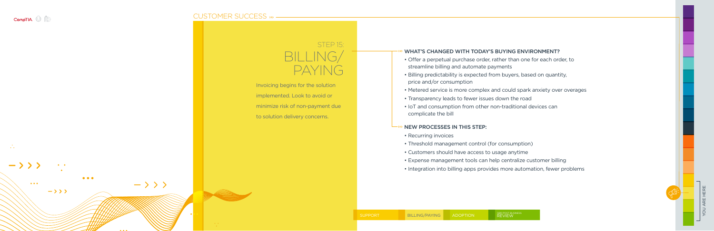<span id="page-25-0"></span>

 $\mathbf{a}^{\dagger}$  ,  $\mathbf{a}^{\dagger}$ 

### [CUSTOMER SUCCESS](#page-23-0) » -

|  |  |  | Invc |
|--|--|--|------|
|  |  |  | imp  |
|  |  |  | min  |
|  |  |  | to s |
|  |  |  |      |
|  |  |  |      |
|  |  |  |      |
|  |  |  |      |
|  |  |  |      |



YOU ARE HERE

### WHAT'S CHANGED WITH TODAY'S BUYING ENVIRONMENT?

- Offer a perpetual purchase order, rather than one for each order, to streamline billing and automate payments
- Billing predictability is expected from buyers, based on quantity, price and/or consumption
- Metered service is more complex and could spark anxiety over overages
- Transparency leads to fewer issues down the road
- IoT and consumption from other non-traditional devices can complicate the bill

### STEP 15: BILLING/ PAYING

- Dicing begins for the solution lemented. Look to avoid or
- imize risk of non-payment due
- olution delivery concerns.

### NEW PROCESSES IN THIS STEP:

- Recurring invoices
- Threshold management control (for consumption)
- Customers should have access to usage anytime
- Expense management tools can help centralize customer billing
- Integration into billing apps provides more automation, fewer problems

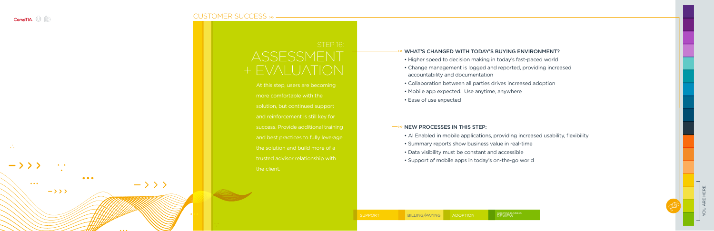<span id="page-26-0"></span>

 $\mathcal{L}$ 

YOU ARE HERE

### [CUSTOMER SUCCESS](#page-23-0)

|                                   | $\overline{\zeta}$        |
|-----------------------------------|---------------------------|
| $\hspace{0.1mm} +$                | E                         |
|                                   | At :                      |
|                                   | mo                        |
|                                   | sol                       |
|                                   | and                       |
|                                   | suc                       |
|                                   | and                       |
|                                   | the                       |
|                                   | tru:                      |
|                                   | $\overline{\mathsf{the}}$ |
|                                   |                           |
|                                   |                           |
| <b>Contract Contract Contract</b> |                           |
|                                   |                           |
|                                   |                           |
|                                   |                           |





### **SESSMENT** VALUATION

his step, users are becoming e comfortable with the ition, but continued support reinforcement is still key for cess. Provide additional training I best practices to fully leverage solution and build more of a ted advisor relationship with client.

### WHAT'S CHANGED WITH TODAY'S BUYING ENVIRONMENT?

- Higher speed to decision making in today's fast-paced world
- Change management is logged and reported, providing increased accountability and documentation
- Collaboration between all parties drives increased adoption
- Mobile app expected. Use anytime, anywhere
- Ease of use expected

#### NEW PROCESSES IN THIS STEP:

- AI Enabled in mobile applications, providing increased usability, flexibility
- Summary reports show business value in real-time
- Data visibility must be constant and accessible
- Support of mobile apps in today's on-the-go world
- 
- 

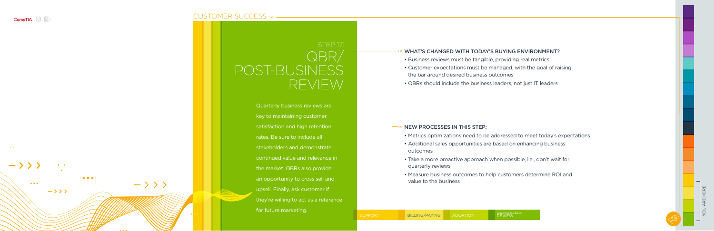<span id="page-27-0"></span>

 $\mathcal{L}$ 

 $\bullet\bullet\bullet$ 

 $\begin{array}{ccc} \bullet & \bullet \end{array}$ 

 $\rightarrow$  >>>

 $\bullet\bullet\bullet$ 

 $-\rangle$   $\rangle$   $\rangle$ 

### [CUSTOMER SUCCESS](#page-23-0) »



|  |  | Qu                      |
|--|--|-------------------------|
|  |  | key                     |
|  |  | sat                     |
|  |  | rat                     |
|  |  | sta                     |
|  |  | cor                     |
|  |  | the                     |
|  |  | an                      |
|  |  | ups                     |
|  |  | the                     |
|  |  | $\overline{\text{for}}$ |
|  |  |                         |

### WHAT'S CHANGED WITH TODAY'S BUYING ENVIRONMENT?

- Business reviews must be tangible, providing real metrics
- Customer expectations must be managed, with the goal of raising the bar around desired business outcomes
- QBRs should include the business leaders, not just IT leaders

### NEW PROCESSES IN THIS STEP:

- Metrics optimizations need to be addressed to meet today's expectations
- Additional sales opportunities are based on enhancing business outcomes
- Take a more proactive approach when possible, i.e., don't wait for quarterly reviews
- Measure business outcomes to help customers determine ROI and value to the business

[SUPPORT](#page-24-0) [BILLING/PAYING](#page-25-0) [ADOPTION](#page-26-0)

### STEP 17: QBR/ T-BUSINESS REVIEW

arterly business reviews are to maintaining customer sfaction and high retention s. Be sure to include all eholders and demonstrate tinued value and relevance in market. QBRs also provide opportunity to cross sell and sell. Finally, ask customer if y're willing to act as a reference future marketing.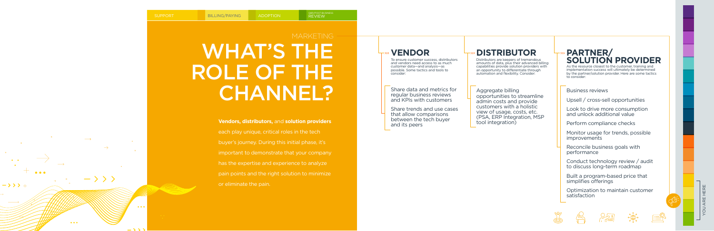### WHAT'S THE ROLE OF THE CHANNEL? **MARKETING**

#### **Vendors, distributors,** and **solution providers**

- each play unique, critical roles in the tech
- buyer's journey. During this initial phase, it's
- important to demonstrate that your company
- has the expertise and experience to analyze
- pain points and the right solution to minimize

or eliminate the pain.

<span id="page-28-0"></span>

### **VENDOR**

To ensure customer success, distributors and vendors need access to as much customer data—and analysis—as possible. Some tactics and tools to consider:

Share data and metrics for regular business reviews and KPIs with customers

Share trends and use cases that allow comparisons between the tech buyer and its peers

### **DISTRIBUTOR**

Distributors are keepers of tremendous amounts of data, plus their advanced billing capabilities provide solution providers with an opportunity to differentiate through automation and flexibility. Consider:

Aggregate billing opportunities to streamline admin costs and provide customers with a holistic view of usage, costs, etc. (PSA, ERP Integration, MSP tool integration)

### **PARTNER/ SOLUTION PROVIDER**

Business reviews

Upsell / cross-sell opportunities

Look to drive more consumption and unlock additional value

Perform compliance checks

Monitor usage for trends, possible improvements

Reconcile business goals with performance

Conduct technology review / audit to discuss long-term roadmap

Built a program-based price that simplifies offerings

Optimization to maintain customer satisfaction











As the resource closest to the customer, training and implementation success will ultimately be determined by the partner/solution provider. Here are some tactics to consider: